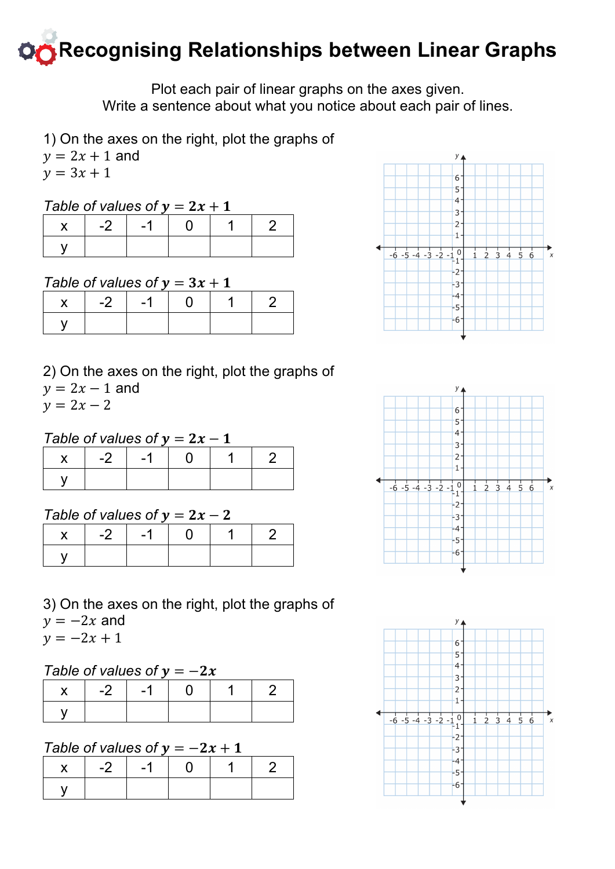# **Recognising Relationships between Linear Graphs**

Plot each pair of linear graphs on the axes given. Write a sentence about what you notice about each pair of lines.

1) On the axes on the right, plot the graphs of

 $y = 2x + 1$  and

 $y = 3x + 1$ 

## *Table of values of*  $y = 2x + 1$

|  | $-2$   $-1$   0 |  |
|--|-----------------|--|
|  |                 |  |

## *Table of values of*  $y = 3x + 1$

|  | $-2$   $-1$   0 |  |
|--|-----------------|--|
|  |                 |  |

#### 2) On the axes on the right, plot the graphs of  $y = 2x - 1$  and  $v = 2x - 2$

## *Table of values of*  $y = 2x - 1$

|  | $-2$   $-1$ |  |  |
|--|-------------|--|--|
|  |             |  |  |

## *Table of values of*  $v = 2x - 2$

| $-2$ | $-1$ |  |  |
|------|------|--|--|
|      |      |  |  |

3) On the axes on the right, plot the graphs of  $y = -2x$  and  $v = -2x + 1$ 

## *Table of values of*  $y = -2x$

| $\mathsf{X}$ | $-2$   $-1$   0 |  |  |
|--------------|-----------------|--|--|
|              |                 |  |  |

#### *Table of values of*  $y = -2x + 1$

| $\mathbf{x}$ | $-2$ | — 1 |  |  |
|--------------|------|-----|--|--|
|              |      |     |  |  |